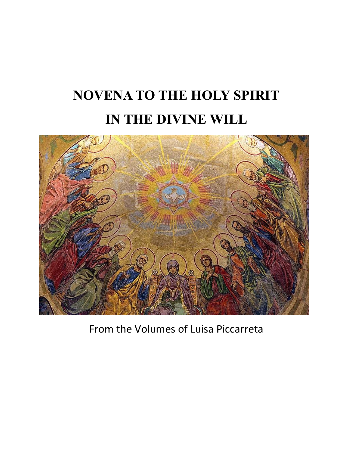# **NOVENA TO THE HOLY SPIRIT IN THE DIVINE WILL**



From the Volumes of Luisa Piccarreta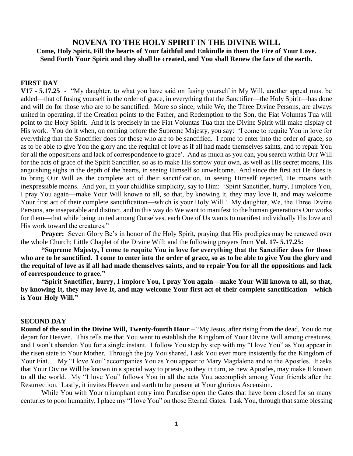# **NOVENA TO THE HOLY SPIRIT IN THE DIVINE WILL Come, Holy Spirit, Fill the hearts of Your faithful and Enkindle in them the Fire of Your Love. Send Forth Your Spirit and they shall be created, and You shall Renew the face of the earth.**

## **FIRST DAY**

**V17 - 5.17.25 -** "My daughter, to what you have said on fusing yourself in My Will, another appeal must be added—that of fusing yourself in the order of grace, in everything that the Sanctifier—the Holy Spirit—has done and will do for those who are to be sanctified. More so since, while We, the Three Divine Persons, are always united in operating, if the Creation points to the Father, and Redemption to the Son, the Fiat Voluntas Tua will point to the Holy Spirit. And it is precisely in the Fiat Voluntas Tua that the Divine Spirit will make display of His work. You do it when, on coming before the Supreme Majesty, you say: 'I come to requite You in love for everything that the Sanctifier does for those who are to be sanctified. I come to enter into the order of grace, so as to be able to give You the glory and the requital of love as if all had made themselves saints, and to repair You for all the oppositions and lack of correspondence to grace'. And as much as you can, you search within Our Will for the acts of grace of the Spirit Sanctifier, so as to make His sorrow your own, as well as His secret moans, His anguishing sighs in the depth of the hearts, in seeing Himself so unwelcome. And since the first act He does is to bring Our Will as the complete act of their sanctification, in seeing Himself rejected, He moans with inexpressible moans. And you, in your childlike simplicity, say to Him: 'Spirit Sanctifier, hurry, I implore You, I pray You again—make Your Will known to all, so that, by knowing It, they may love It, and may welcome Your first act of their complete sanctification—which is your Holy Will.' My daughter, We, the Three Divine Persons, are inseparable and distinct, and in this way do We want to manifest to the human generations Our works for them—that while being united among Ourselves, each One of Us wants to manifest individually His love and His work toward the creatures."

**Prayer:** Seven Glory Be's in honor of the Holy Spirit, praying that His prodigies may be renewed over the whole Church; Little Chaplet of the Divine Will; and the following prayers from **Vol. 17- 5.17.25:**

**"Supreme Majesty, I come to requite You in love for everything that the Sanctifier does for those who are to be sanctified. I come to enter into the order of grace, so as to be able to give You the glory and the requital of love as if all had made themselves saints, and to repair You for all the oppositions and lack of correspondence to grace."**

**"Spirit Sanctifier, hurry, I implore You, I pray You again—make Your Will known to all, so that, by knowing It, they may love It, and may welcome Your first act of their complete sanctification—which is Your Holy Will."** 

#### **SECOND DAY**

**Round of the soul in the Divine Will, Twenty-fourth Hour – "My Jesus, after rising from the dead, You do not** depart for Heaven. This tells me that You want to establish the Kingdom of Your Divine Will among creatures, and I won't abandon You for a single instant. I follow You step by step with my "I love You" as You appear in the risen state to Your Mother. Through the joy You shared, I ask You ever more insistently for the Kingdom of Your Fiat… My "I love You" accompanies You as You appear to Mary Magdalene and to the Apostles. It asks that Your Divine Will be known in a special way to priests, so they in turn, as new Apostles, may make It known to all the world. My "I love You" follows You in all the acts You accomplish among Your friends after the Resurrection. Lastly, it invites Heaven and earth to be present at Your glorious Ascension.

While You with Your triumphant entry into Paradise open the Gates that have been closed for so many centuries to poor humanity, I place my "I love You" on those Eternal Gates. I ask You, through that same blessing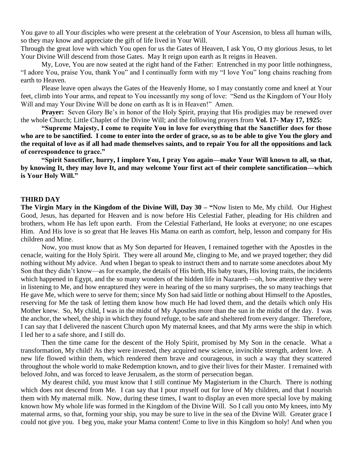You gave to all Your disciples who were present at the celebration of Your Ascension, to bless all human wills, so they may know and appreciate the gift of life lived in Your Will.

Through the great love with which You open for us the Gates of Heaven, I ask You, O my glorious Jesus, to let Your Divine Will descend from those Gates. May It reign upon earth as It reigns in Heaven.

My, Love, You are now seated at the right hand of the Father: Entrenched in my poor little nothingness, "I adore You, praise You, thank You" and I continually form with my "I love You" long chains reaching from earth to Heaven.

Please leave open always the Gates of the Heavenly Home, so I may constantly come and kneel at Your feet, climb into Your arms, and repeat to You incessantly my song of love: "Send us the Kingdom of Your Holy Will and may Your Divine Will be done on earth as It is in Heaven!" Amen.

**Prayer:** Seven Glory Be's in honor of the Holy Spirit, praying that His prodigies may be renewed over the whole Church; Little Chaplet of the Divine Will; and the following prayers from **Vol. 17- May 17, 1925:**

**"Supreme Majesty, I come to requite You in love for everything that the Sanctifier does for those who are to be sanctified. I come to enter into the order of grace, so as to be able to give You the glory and the requital of love as if all had made themselves saints, and to repair You for all the oppositions and lack of correspondence to grace."**

**"Spirit Sanctifier, hurry, I implore You, I pray You again—make Your Will known to all, so that, by knowing It, they may love It, and may welcome Your first act of their complete sanctification—which is Your Holy Will."** 

### **THIRD DAY**

**The Virgin Mary in the Kingdom of the Divine Will, Day 30 – "**Now listen to Me, My child. Our Highest Good, Jesus, has departed for Heaven and is now before His Celestial Father, pleading for His children and brothers, whom He has left upon earth. From the Celestial Fatherland, He looks at everyone; no one escapes Him. And His love is so great that He leaves His Mama on earth as comfort, help, lesson and company for His children and Mine.

Now, you must know that as My Son departed for Heaven, I remained together with the Apostles in the cenacle, waiting for the Holy Spirit. They were all around Me, clinging to Me, and we prayed together; they did nothing without My advice. And when I began to speak to instruct them and to narrate some anecdotes about My Son that they didn't know—as for example, the details of His birth, His baby tears, His loving traits, the incidents which happened in Egypt, and the so many wonders of the hidden life in Nazareth—oh, how attentive they were in listening to Me, and how enraptured they were in hearing of the so many surprises, the so many teachings that He gave Me, which were to serve for them; since My Son had said little or nothing about Himself to the Apostles, reserving for Me the task of letting them know how much He had loved them, and the details which only His Mother knew. So, My child, I was in the midst of My Apostles more than the sun in the midst of the day. I was the anchor, the wheel, the ship in which they found refuge, to be safe and sheltered from every danger. Therefore, I can say that I delivered the nascent Church upon My maternal knees, and that My arms were the ship in which I led her to a safe shore, and I still do.

Then the time came for the descent of the Holy Spirit, promised by My Son in the cenacle. What a transformation, My child! As they were invested, they acquired new science, invincible strength, ardent love. A new life flowed within them, which rendered them brave and courageous, in such a way that they scattered throughout the whole world to make Redemption known, and to give their lives for their Master. I remained with beloved John, and was forced to leave Jerusalem, as the storm of persecution began.

My dearest child, you must know that I still continue My Magisterium in the Church. There is nothing which does not descend from Me. I can say that I pour myself out for love of My children, and that I nourish them with My maternal milk. Now, during these times, I want to display an even more special love by making known how My whole life was formed in the Kingdom of the Divine Will. So I call you onto My knees, into My maternal arms, so that, forming your ship, you may be sure to live in the sea of the Divine Will. Greater grace I could not give you. I beg you, make your Mama content! Come to live in this Kingdom so holy! And when you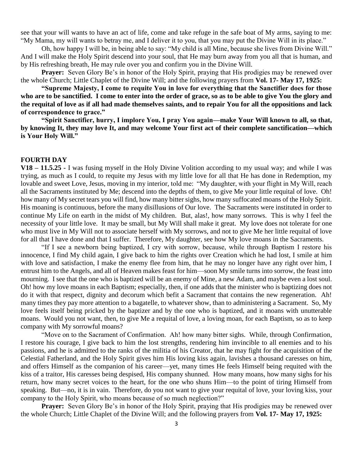see that your will wants to have an act of life, come and take refuge in the safe boat of My arms, saying to me: "My Mama, my will wants to betray me, and I deliver it to you, that you may put the Divine Will in its place."

Oh, how happy I will be, in being able to say: "My child is all Mine, because she lives from Divine Will." And I will make the Holy Spirit descend into your soul, that He may burn away from you all that is human, and by His refreshing breath, He may rule over you and confirm you in the Divine Will.

**Prayer:** Seven Glory Be's in honor of the Holy Spirit, praying that His prodigies may be renewed over the whole Church; Little Chaplet of the Divine Will; and the following prayers from **Vol. 17- May 17, 1925:**

**"Supreme Majesty, I come to requite You in love for everything that the Sanctifier does for those who are to be sanctified. I come to enter into the order of grace, so as to be able to give You the glory and the requital of love as if all had made themselves saints, and to repair You for all the oppositions and lack of correspondence to grace."**

**"Spirit Sanctifier, hurry, I implore You, I pray You again—make Your Will known to all, so that, by knowing It, they may love It, and may welcome Your first act of their complete sanctification—which is Your Holy Will."** 

### **FOURTH DAY**

**V18 – 11.5.25 -** I was fusing myself in the Holy Divine Volition according to my usual way; and while I was trying, as much as I could, to requite my Jesus with my little love for all that He has done in Redemption, my lovable and sweet Love, Jesus, moving in my interior, told me: "My daughter, with your flight in My Will, reach all the Sacraments instituted by Me; descend into the depths of them, to give Me your little requital of love. Oh! how many of My secret tears you will find, how many bitter sighs, how many suffocated moans of the Holy Spirit. His moaning is continuous, before the many disillusions of Our love. The Sacraments were instituted in order to continue My Life on earth in the midst of My children. But, alas!, how many sorrows. This is why I feel the necessity of your little love. It may be small, but My Will shall make it great. My love does not tolerate for one who must live in My Will not to associate herself with My sorrows, and not to give Me her little requital of love for all that I have done and that I suffer. Therefore, My daughter, see how My love moans in the Sacraments.

"If I see a newborn being baptized, I cry with sorrow, because, while through Baptism I restore his innocence, I find My child again, I give back to him the rights over Creation which he had lost, I smile at him with love and satisfaction, I make the enemy flee from him, that he may no longer have any right over him, I entrust him to the Angels, and all of Heaven makes feast for him—soon My smile turns into sorrow, the feast into mourning. I see that the one who is baptized will be an enemy of Mine, a new Adam, and maybe even a lost soul. Oh! how my love moans in each Baptism; especially, then, if one adds that the minister who is baptizing does not do it with that respect, dignity and decorum which befit a Sacrament that contains the new regeneration. Ah! many times they pay more attention to a bagatelle, to whatever show, than to administering a Sacrament. So, My love feels itself being pricked by the baptizer and by the one who is baptized, and it moans with unutterable moans. Would you not want, then, to give Me a requital of love, a loving moan, for each Baptism, so as to keep company with My sorrowful moans?

"Move on to the Sacrament of Confirmation. Ah! how many bitter sighs. While, through Confirmation, I restore his courage, I give back to him the lost strengths, rendering him invincible to all enemies and to his passions, and he is admitted to the ranks of the militia of his Creator, that he may fight for the acquisition of the Celestial Fatherland, and the Holy Spirit gives him His loving kiss again, lavishes a thousand caresses on him, and offers Himself as the companion of his career—yet, many times He feels Himself being requited with the kiss of a traitor, His caresses being despised, His company shunned. How many moans, how many sighs for his return, how many secret voices to the heart, for the one who shuns Him—to the point of tiring Himself from speaking. But—no, it is in vain. Therefore, do you not want to give your requital of love, your loving kiss, your company to the Holy Spirit, who moans because of so much neglection?"

**Prayer:** Seven Glory Be's in honor of the Holy Spirit, praying that His prodigies may be renewed over the whole Church; Little Chaplet of the Divine Will; and the following prayers from **Vol. 17- May 17, 1925:**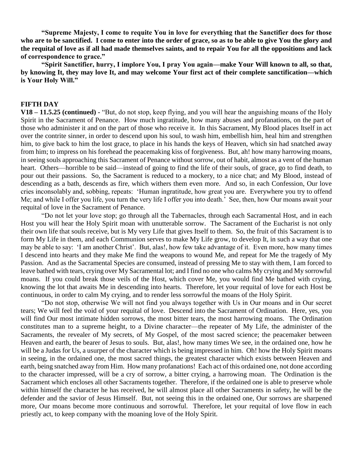**"Supreme Majesty, I come to requite You in love for everything that the Sanctifier does for those who are to be sanctified. I come to enter into the order of grace, so as to be able to give You the glory and the requital of love as if all had made themselves saints, and to repair You for all the oppositions and lack of correspondence to grace."**

**"Spirit Sanctifier, hurry, I implore You, I pray You again—make Your Will known to all, so that, by knowing It, they may love It, and may welcome Your first act of their complete sanctification—which is Your Holy Will."** 

## **FIFTH DAY**

**V18 – 11.5.25 (continued) -** "But, do not stop, keep flying, and you will hear the anguishing moans of the Holy Spirit in the Sacrament of Penance. How much ingratitude, how many abuses and profanations, on the part of those who administer it and on the part of those who receive it. In this Sacrament, My Blood places Itself in act over the contrite sinner, in order to descend upon his soul, to wash him, embellish him, heal him and strengthen him, to give back to him the lost grace, to place in his hands the keys of Heaven, which sin had snatched away from him; to impress on his forehead the peacemaking kiss of forgiveness. But, ah! how many harrowing moans, in seeing souls approaching this Sacrament of Penance without sorrow, out of habit, almost as a vent of the human heart. Others—horrible to be said—instead of going to find the life of their souls, of grace, go to find death, to pour out their passions. So, the Sacrament is reduced to a mockery, to a nice chat; and My Blood, instead of descending as a bath, descends as fire, which withers them even more. And so, in each Confession, Our love cries inconsolably and, sobbing, repeats: 'Human ingratitude, how great you are. Everywhere you try to offend Me; and while I offer you life, you turn the very life I offer you into death.' See, then, how Our moans await your requital of love in the Sacrament of Penance.

"Do not let your love stop; go through all the Tabernacles, through each Sacramental Host, and in each Host you will hear the Holy Spirit moan with unutterable sorrow. The Sacrament of the Eucharist is not only their own life that souls receive, but is My very Life that gives Itself to them. So, the fruit of this Sacrament is to form My Life in them, and each Communion serves to make My Life grow, to develop It, in such a way that one may be able to say: 'I am another Christ'. But, alas!, how few take advantage of it. Even more, how many times I descend into hearts and they make Me find the weapons to wound Me, and repeat for Me the tragedy of My Passion. And as the Sacramental Species are consumed, instead of pressing Me to stay with them, I am forced to leave bathed with tears, crying over My Sacramental lot; and I find no one who calms My crying and My sorrowful moans. If you could break those veils of the Host, which cover Me, you would find Me bathed with crying, knowing the lot that awaits Me in descending into hearts. Therefore, let your requital of love for each Host be continuous, in order to calm My crying, and to render less sorrowful the moans of the Holy Spirit.

"Do not stop, otherwise We will not find you always together with Us in Our moans and in Our secret tears; We will feel the void of your requital of love. Descend into the Sacrament of Ordination. Here, yes, you will find Our most intimate hidden sorrows, the most bitter tears, the most harrowing moans. The Ordination constitutes man to a supreme height, to a Divine character—the repeater of My Life, the administer of the Sacraments, the revealer of My secrets, of My Gospel, of the most sacred science; the peacemaker between Heaven and earth, the bearer of Jesus to souls. But, alas!, how many times We see, in the ordained one, how he will be a Judas for Us, a usurper of the character which is being impressed in him. Oh! how the Holy Spirit moans in seeing, in the ordained one, the most sacred things, the greatest character which exists between Heaven and earth, being snatched away from Him. How many profanations! Each act of this ordained one, not done according to the character impressed, will be a cry of sorrow, a bitter crying, a harrowing moan. The Ordination is the Sacrament which encloses all other Sacraments together. Therefore, if the ordained one is able to preserve whole within himself the character he has received, he will almost place all other Sacraments in safety, he will be the defender and the savior of Jesus Himself. But, not seeing this in the ordained one, Our sorrows are sharpened more, Our moans become more continuous and sorrowful. Therefore, let your requital of love flow in each priestly act, to keep company with the moaning love of the Holy Spirit.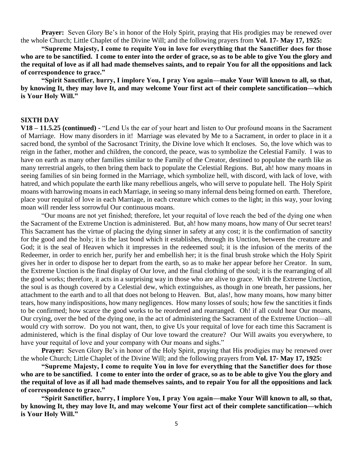**Prayer:** Seven Glory Be's in honor of the Holy Spirit, praying that His prodigies may be renewed over the whole Church; Little Chaplet of the Divine Will; and the following prayers from **Vol. 17- May 17, 1925:**

**"Supreme Majesty, I come to requite You in love for everything that the Sanctifier does for those who are to be sanctified. I come to enter into the order of grace, so as to be able to give You the glory and the requital of love as if all had made themselves saints, and to repair You for all the oppositions and lack of correspondence to grace."**

**"Spirit Sanctifier, hurry, I implore You, I pray You again—make Your Will known to all, so that, by knowing It, they may love It, and may welcome Your first act of their complete sanctification—which is Your Holy Will."** 

#### **SIXTH DAY**

**V18 – 11.5.25 (continued) -** "Lend Us the ear of your heart and listen to Our profound moans in the Sacrament of Marriage. How many disorders in it! Marriage was elevated by Me to a Sacrament, in order to place in it a sacred bond, the symbol of the Sacrosanct Trinity, the Divine love which It encloses. So, the love which was to reign in the father, mother and children, the concord, the peace, was to symbolize the Celestial Family. I was to have on earth as many other families similar to the Family of the Creator, destined to populate the earth like as many terrestrial angels, to then bring them back to populate the Celestial Regions. But, ah! how many moans in seeing families of sin being formed in the Marriage, which symbolize hell, with discord, with lack of love, with hatred, and which populate the earth like many rebellious angels, who will serve to populate hell. The Holy Spirit moans with harrowing moans in each Marriage, in seeing so many infernal dens being formed on earth. Therefore, place your requital of love in each Marriage, in each creature which comes to the light; in this way, your loving moan will render less sorrowful Our continuous moans.

"Our moans are not yet finished; therefore, let your requital of love reach the bed of the dying one when the Sacrament of the Extreme Unction is administered. But, ah! how many moans, how many of Our secret tears! This Sacrament has the virtue of placing the dying sinner in safety at any cost; it is the confirmation of sanctity for the good and the holy; it is the last bond which it establishes, through its Unction, between the creature and God; it is the seal of Heaven which it impresses in the redeemed soul; it is the infusion of the merits of the Redeemer, in order to enrich her, purify her and embellish her; it is the final brush stroke which the Holy Spirit gives her in order to dispose her to depart from the earth, so as to make her appear before her Creator. In sum, the Extreme Unction is the final display of Our love, and the final clothing of the soul; it is the rearranging of all the good works; therefore, it acts in a surprising way in those who are alive to grace. With the Extreme Unction, the soul is as though covered by a Celestial dew, which extinguishes, as though in one breath, her passions, her attachment to the earth and to all that does not belong to Heaven. But, alas!, how many moans, how many bitter tears, how many indispositions, how many negligences. How many losses of souls; how few the sanctities it finds to be confirmed; how scarce the good works to be reordered and rearranged. Oh! if all could hear Our moans, Our crying, over the bed of the dying one, in the act of administering the Sacrament of the Extreme Unction—all would cry with sorrow. Do you not want, then, to give Us your requital of love for each time this Sacrament is administered, which is the final display of Our love toward the creature? Our Will awaits you everywhere, to have your requital of love and your company with Our moans and sighs."

**Prayer:** Seven Glory Be's in honor of the Holy Spirit, praying that His prodigies may be renewed over the whole Church; Little Chaplet of the Divine Will; and the following prayers from **Vol. 17- May 17, 1925:**

**"Supreme Majesty, I come to requite You in love for everything that the Sanctifier does for those who are to be sanctified. I come to enter into the order of grace, so as to be able to give You the glory and the requital of love as if all had made themselves saints, and to repair You for all the oppositions and lack of correspondence to grace."**

**"Spirit Sanctifier, hurry, I implore You, I pray You again—make Your Will known to all, so that, by knowing It, they may love It, and may welcome Your first act of their complete sanctification—which is Your Holy Will."**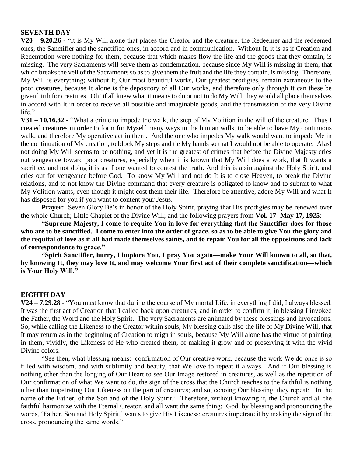## **SEVENTH DAY**

**V20 – 9.20.26 -** "It is My Will alone that places the Creator and the creature, the Redeemer and the redeemed ones, the Sanctifier and the sanctified ones, in accord and in communication. Without It, it is as if Creation and Redemption were nothing for them, because that which makes flow the life and the goods that they contain, is missing. The very Sacraments will serve them as condemnation, because since My Will is missing in them, that which breaks the veil of the Sacraments so as to give them the fruit and the life they contain, is missing. Therefore, My Will is everything; without It, Our most beautiful works, Our greatest prodigies, remain extraneous to the poor creatures, because It alone is the depository of all Our works, and therefore only through It can these be given birth for creatures. Oh! if all knew what it means to do or not to do My Will, they would all place themselves in accord with It in order to receive all possible and imaginable goods, and the transmission of the very Divine life."

**V31 – 10.16.32 -** "What a crime to impede the walk, the step of My Volition in the will of the creature. Thus I created creatures in order to form for Myself many ways in the human wills, to be able to have My continuous walk, and therefore My operative act in them. And the one who impedes My walk would want to impede Me in the continuation of My creation, to block My steps and tie My hands so that I would not be able to operate. Alas! not doing My Will seems to be nothing, and yet it is the greatest of crimes that before the Divine Majesty cries out vengeance toward poor creatures, especially when it is known that My Will does a work, that It wants a sacrifice, and not doing it is as if one wanted to contest the truth. And this is a sin against the Holy Spirit, and cries out for vengeance before God. To know My Will and not do It is to close Heaven, to break the Divine relations, and to not know the Divine command that every creature is obligated to know and to submit to what My Volition wants, even though it might cost them their life. Therefore be attentive, adore My Will and what It has disposed for you if you want to content your Jesus.

**Prayer:** Seven Glory Be's in honor of the Holy Spirit, praying that His prodigies may be renewed over the whole Church; Little Chaplet of the Divine Will; and the following prayers from **Vol. 17- May 17, 1925**:

**"Supreme Majesty, I come to requite You in love for everything that the Sanctifier does for those who are to be sanctified. I come to enter into the order of grace, so as to be able to give You the glory and the requital of love as if all had made themselves saints, and to repair You for all the oppositions and lack of correspondence to grace."**

**"Spirit Sanctifier, hurry, I implore You, I pray You again—make Your Will known to all, so that, by knowing It, they may love It, and may welcome Your first act of their complete sanctification—which is Your Holy Will."** 

## **EIGHTH DAY**

**V24 – 7.29.28 -** "You must know that during the course of My mortal Life, in everything I did, I always blessed. It was the first act of Creation that I called back upon creatures, and in order to confirm it, in blessing I invoked the Father, the Word and the Holy Spirit. The very Sacraments are animated by these blessings and invocations. So, while calling the Likeness to the Creator within souls, My blessing calls also the life of My Divine Will, that It may return as in the beginning of Creation to reign in souls, because My Will alone has the virtue of painting in them, vividly, the Likeness of He who created them, of making it grow and of preserving it with the vivid Divine colors.

"See then, what blessing means: confirmation of Our creative work, because the work We do once is so filled with wisdom, and with sublimity and beauty, that We love to repeat it always. And if Our blessing is nothing other than the longing of Our Heart to see Our Image restored in creatures, as well as the repetition of Our confirmation of what We want to do, the sign of the cross that the Church teaches to the faithful is nothing other than impetrating Our Likeness on the part of creatures; and so, echoing Our blessing, they repeat: 'In the name of the Father, of the Son and of the Holy Spirit.' Therefore, without knowing it, the Church and all the faithful harmonize with the Eternal Creator, and all want the same thing: God, by blessing and pronouncing the words, 'Father, Son and Holy Spirit,' wants to give His Likeness; creatures impetrate it by making the sign of the cross, pronouncing the same words."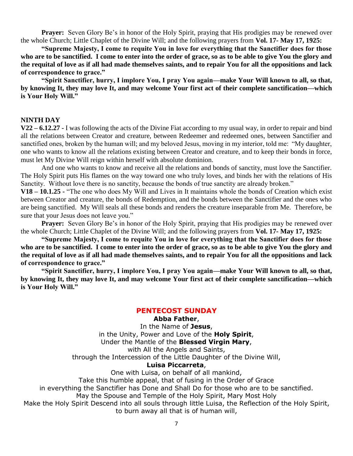**Prayer:** Seven Glory Be's in honor of the Holy Spirit, praying that His prodigies may be renewed over the whole Church; Little Chaplet of the Divine Will; and the following prayers from **Vol. 17- May 17, 1925:**

**"Supreme Majesty, I come to requite You in love for everything that the Sanctifier does for those who are to be sanctified. I come to enter into the order of grace, so as to be able to give You the glory and the requital of love as if all had made themselves saints, and to repair You for all the oppositions and lack of correspondence to grace."**

**"Spirit Sanctifier, hurry, I implore You, I pray You again—make Your Will known to all, so that, by knowing It, they may love It, and may welcome Your first act of their complete sanctification—which is Your Holy Will."** 

#### **NINTH DAY**

**V22 – 6.12.27 -** I was following the acts of the Divine Fiat according to my usual way, in order to repair and bind all the relations between Creator and creature, between Redeemer and redeemed ones, between Sanctifier and sanctified ones, broken by the human will; and my beloved Jesus, moving in my interior, told me: "My daughter, one who wants to know all the relations existing between Creator and creature, and to keep their bonds in force, must let My Divine Will reign within herself with absolute dominion.

And one who wants to know and receive all the relations and bonds of sanctity, must love the Sanctifier. The Holy Spirit puts His flames on the way toward one who truly loves, and binds her with the relations of His Sanctity. Without love there is no sanctity, because the bonds of true sanctity are already broken."

**V18 – 10.1.25 -** "The one who does My Will and Lives in It maintains whole the bonds of Creation which exist between Creator and creature, the bonds of Redemption, and the bonds between the Sanctifier and the ones who are being sanctified. My Will seals all these bonds and renders the creature inseparable from Me. Therefore, be sure that your Jesus does not leave you."

**Prayer:** Seven Glory Be's in honor of the Holy Spirit, praying that His prodigies may be renewed over the whole Church; Little Chaplet of the Divine Will; and the following prayers from **Vol. 17- May 17, 1925:**

 **"Supreme Majesty, I come to requite You in love for everything that the Sanctifier does for those who are to be sanctified. I come to enter into the order of grace, so as to be able to give You the glory and the requital of love as if all had made themselves saints, and to repair You for all the oppositions and lack of correspondence to grace."**

**"Spirit Sanctifier, hurry, I implore You, I pray You again—make Your Will known to all, so that, by knowing It, they may love It, and may welcome Your first act of their complete sanctification—which is Your Holy Will."** 

# **PENTECOST SUNDAY**

**Abba Father**,

In the Name of **Jesus**, in the Unity, Power and Love of the **Holy Spirit**, Under the Mantle of the **Blessed Virgin Mary**, with All the Angels and Saints, through the Intercession of the Little Daughter of the Divine Will, **Luisa Piccarreta**,

One with Luisa, on behalf of all mankind, Take this humble appeal, that of fusing in the Order of Grace in everything the Sanctifier has Done and Shall Do for those who are to be sanctified. May the Spouse and Temple of the Holy Spirit, Mary Most Holy Make the Holy Spirit Descend into all souls through little Luisa, the Reflection of the Holy Spirit, to burn away all that is of human will,